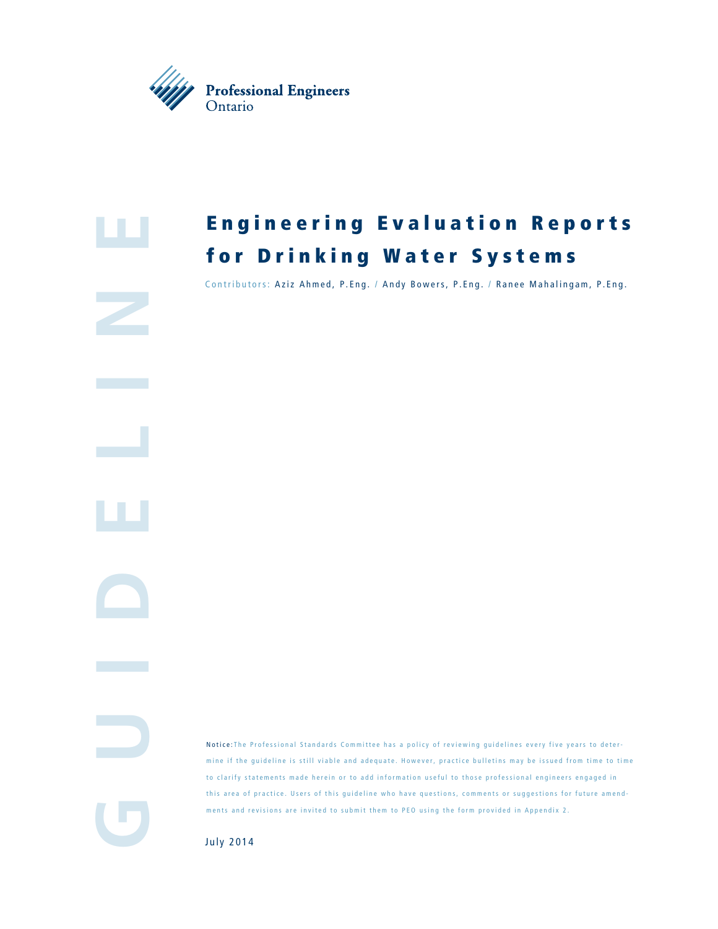



# **Engineering Evaluation Reports** for Drinking Water Systems

Contributors: Aziz Ahmed, P.Eng. / Andy Bowers, P.Eng. / Ranee Mahalingam, P.Eng.

**GuidElin**

IJ

Notice : The Professional Standards Committee has a policy of reviewing guidelines every five years to deter mine if the guideline is still viable and adequate. However, practice bulletins may be issued from time to time to clarify statements made herein or to add information useful to those professional engineers engaged in this area of practice. Users of this guideline who have questions, comments or suggestions for future amend ments and revisions are invited to submit them to PEO using the form provided in Appendix 2.

July 2014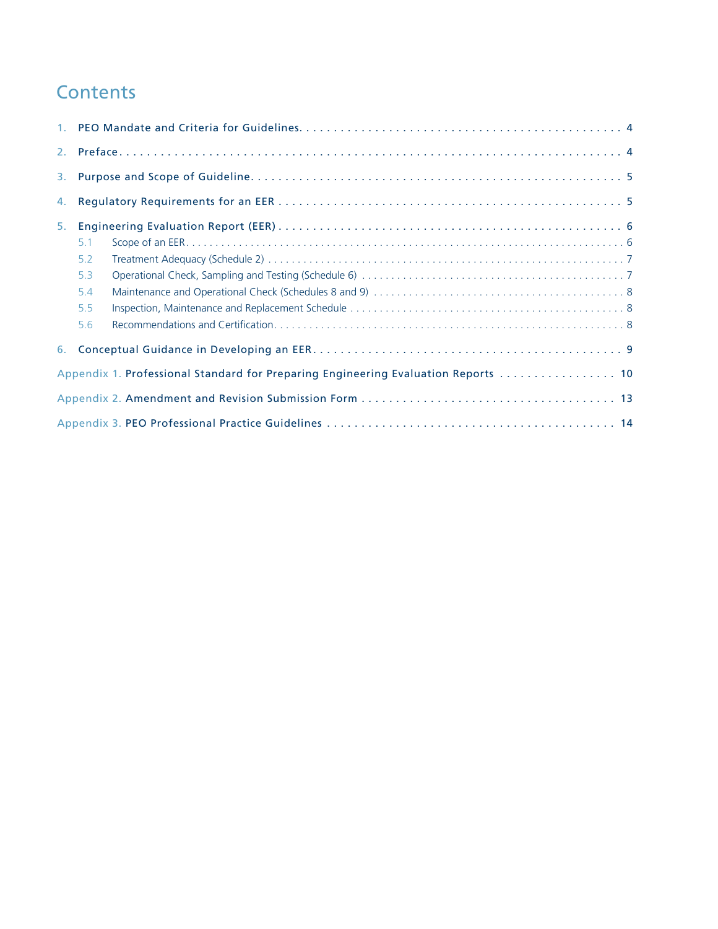# **Contents**

| 3.                                                                                 |     |  |  |
|------------------------------------------------------------------------------------|-----|--|--|
| 4.                                                                                 |     |  |  |
| 5.                                                                                 |     |  |  |
|                                                                                    | 5.1 |  |  |
|                                                                                    | 5.2 |  |  |
|                                                                                    | 5.3 |  |  |
|                                                                                    | 5.4 |  |  |
|                                                                                    | 5.5 |  |  |
|                                                                                    | 5.6 |  |  |
|                                                                                    |     |  |  |
| Appendix 1. Professional Standard for Preparing Engineering Evaluation Reports  10 |     |  |  |
|                                                                                    |     |  |  |
|                                                                                    |     |  |  |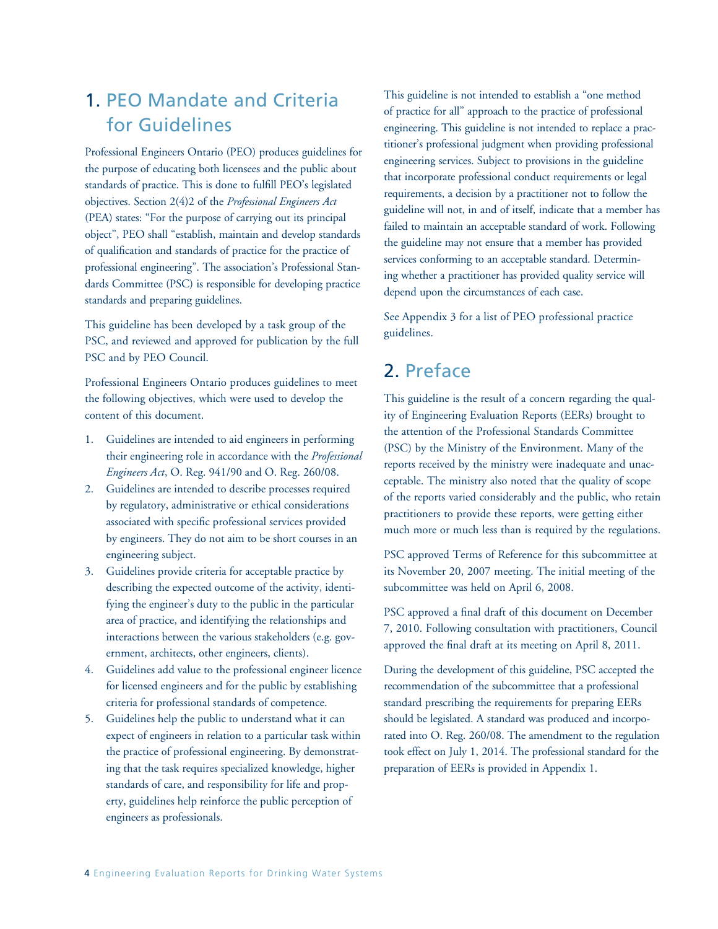### 1. PEO Mandate and Criteria for Guidelines

Professional Engineers Ontario (PEO) produces guidelines for the purpose of educating both licensees and the public about standards of practice. This is done to fulfill PEO's legislated objectives. Section 2(4)2 of the *Professional Engineers Act* (PEA) states: "For the purpose of carrying out its principal object", PEO shall "establish, maintain and develop standards of qualification and standards of practice for the practice of professional engineering". The association's Professional Standards Committee (PSC) is responsible for developing practice standards and preparing guidelines.

This guideline has been developed by a task group of the PSC, and reviewed and approved for publication by the full PSC and by PEO Council.

Professional Engineers Ontario produces guidelines to meet the following objectives, which were used to develop the content of this document.

- 1. Guidelines are intended to aid engineers in performing their engineering role in accordance with the *Professional Engineers Act*, O. Reg. 941/90 and O. Reg. 260/08.
- 2. Guidelines are intended to describe processes required by regulatory, administrative or ethical considerations associated with specific professional services provided by engineers. They do not aim to be short courses in an engineering subject.
- 3. Guidelines provide criteria for acceptable practice by describing the expected outcome of the activity, identifying the engineer's duty to the public in the particular area of practice, and identifying the relationships and interactions between the various stakeholders (e.g. government, architects, other engineers, clients).
- 4. Guidelines add value to the professional engineer licence for licensed engineers and for the public by establishing criteria for professional standards of competence.
- 5. Guidelines help the public to understand what it can expect of engineers in relation to a particular task within the practice of professional engineering. By demonstrating that the task requires specialized knowledge, higher standards of care, and responsibility for life and property, guidelines help reinforce the public perception of engineers as professionals.

This guideline is not intended to establish a "one method of practice for all" approach to the practice of professional engineering. This guideline is not intended to replace a practitioner's professional judgment when providing professional engineering services. Subject to provisions in the guideline that incorporate professional conduct requirements or legal requirements, a decision by a practitioner not to follow the guideline will not, in and of itself, indicate that a member has failed to maintain an acceptable standard of work. Following the guideline may not ensure that a member has provided services conforming to an acceptable standard. Determining whether a practitioner has provided quality service will depend upon the circumstances of each case.

See Appendix 3 for a list of PEO professional practice guidelines.

### 2. Preface

This guideline is the result of a concern regarding the quality of Engineering Evaluation Reports (EERs) brought to the attention of the Professional Standards Committee (PSC) by the Ministry of the Environment. Many of the reports received by the ministry were inadequate and unacceptable. The ministry also noted that the quality of scope of the reports varied considerably and the public, who retain practitioners to provide these reports, were getting either much more or much less than is required by the regulations.

PSC approved Terms of Reference for this subcommittee at its November 20, 2007 meeting. The initial meeting of the subcommittee was held on April 6, 2008.

PSC approved a final draft of this document on December 7, 2010. Following consultation with practitioners, Council approved the final draft at its meeting on April 8, 2011.

During the development of this guideline, PSC accepted the recommendation of the subcommittee that a professional standard prescribing the requirements for preparing EERs should be legislated. A standard was produced and incorporated into O. Reg. 260/08. The amendment to the regulation took effect on July 1, 2014. The professional standard for the preparation of EERs is provided in Appendix 1.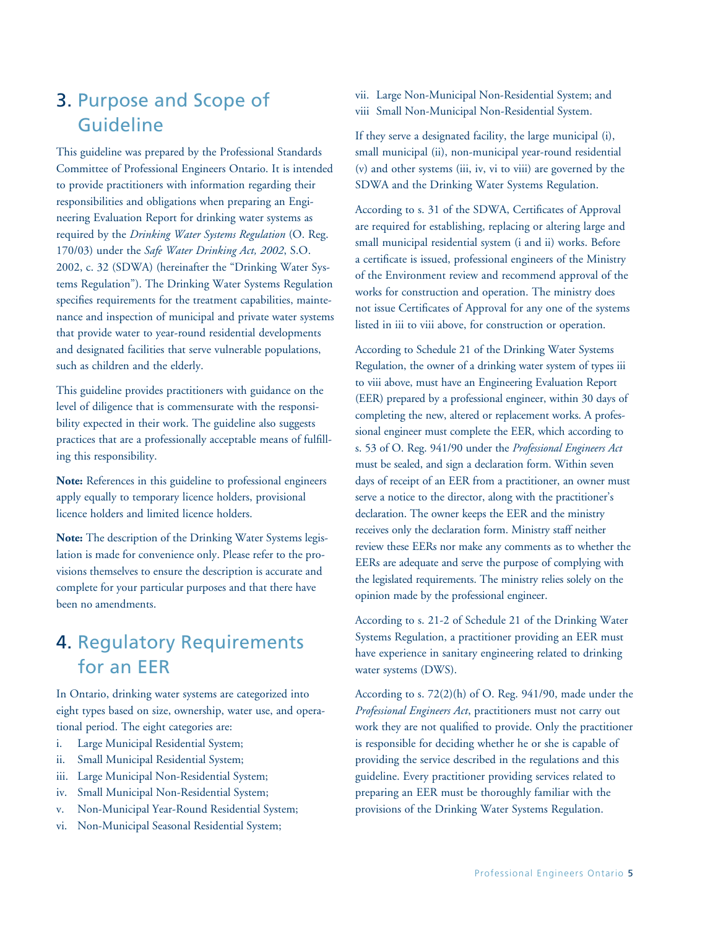### 3. Purpose and Scope of Guideline

This guideline was prepared by the Professional Standards Committee of Professional Engineers Ontario. It is intended to provide practitioners with information regarding their responsibilities and obligations when preparing an Engineering Evaluation Report for drinking water systems as required by the *Drinking Water Systems Regulation* (O. Reg. 170/03) under the *Safe Water Drinking Act, 2002*, S.O. 2002, c. 32 (SDWA) (hereinafter the "Drinking Water Systems Regulation"). The Drinking Water Systems Regulation specifies requirements for the treatment capabilities, maintenance and inspection of municipal and private water systems that provide water to year-round residential developments and designated facilities that serve vulnerable populations, such as children and the elderly.

This guideline provides practitioners with guidance on the level of diligence that is commensurate with the responsibility expected in their work. The guideline also suggests practices that are a professionally acceptable means of fulfilling this responsibility.

**Note:** References in this guideline to professional engineers apply equally to temporary licence holders, provisional licence holders and limited licence holders.

**Note:** The description of the Drinking Water Systems legislation is made for convenience only. Please refer to the provisions themselves to ensure the description is accurate and complete for your particular purposes and that there have been no amendments.

## 4. Regulatory Requirements for an EER

In Ontario, drinking water systems are categorized into eight types based on size, ownership, water use, and operational period. The eight categories are:

- i. Large Municipal Residential System;
- ii. Small Municipal Residential System;
- iii. Large Municipal Non-Residential System;
- iv. Small Municipal Non-Residential System;
- v. Non-Municipal Year-Round Residential System;
- vi. Non-Municipal Seasonal Residential System;

vii. Large Non-Municipal Non-Residential System; and viii Small Non-Municipal Non-Residential System.

If they serve a designated facility, the large municipal (i), small municipal (ii), non-municipal year-round residential (v) and other systems (iii, iv, vi to viii) are governed by the SDWA and the Drinking Water Systems Regulation.

According to s. 31 of the SDWA, Certificates of Approval are required for establishing, replacing or altering large and small municipal residential system (i and ii) works. Before a certificate is issued, professional engineers of the Ministry of the Environment review and recommend approval of the works for construction and operation. The ministry does not issue Certificates of Approval for any one of the systems listed in iii to viii above, for construction or operation.

According to Schedule 21 of the Drinking Water Systems Regulation, the owner of a drinking water system of types iii to viii above, must have an Engineering Evaluation Report (EER) prepared by a professional engineer, within 30 days of completing the new, altered or replacement works. A professional engineer must complete the EER, which according to s. 53 of O. Reg. 941/90 under the *Professional Engineers Act* must be sealed, and sign a declaration form. Within seven days of receipt of an EER from a practitioner, an owner must serve a notice to the director, along with the practitioner's declaration. The owner keeps the EER and the ministry receives only the declaration form. Ministry staff neither review these EERs nor make any comments as to whether the EERs are adequate and serve the purpose of complying with the legislated requirements. The ministry relies solely on the opinion made by the professional engineer.

According to s. 21-2 of Schedule 21 of the Drinking Water Systems Regulation, a practitioner providing an EER must have experience in sanitary engineering related to drinking water systems (DWS).

According to s. 72(2)(h) of O. Reg. 941/90, made under the *Professional Engineers Act*, practitioners must not carry out work they are not qualified to provide. Only the practitioner is responsible for deciding whether he or she is capable of providing the service described in the regulations and this guideline. Every practitioner providing services related to preparing an EER must be thoroughly familiar with the provisions of the Drinking Water Systems Regulation.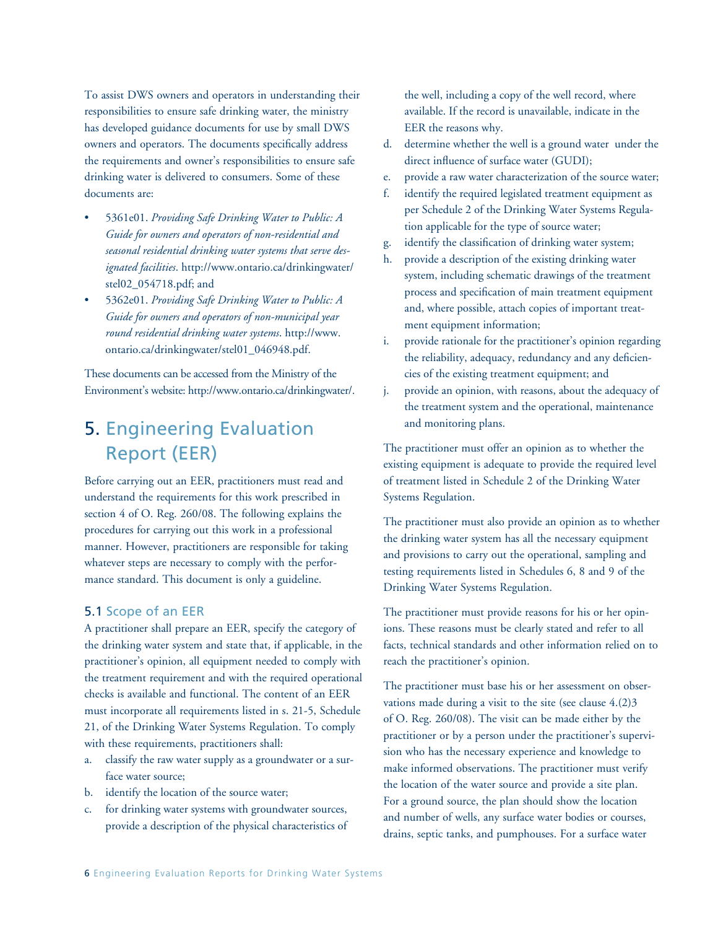To assist DWS owners and operators in understanding their responsibilities to ensure safe drinking water, the ministry has developed guidance documents for use by small DWS owners and operators. The documents specifically address the requirements and owner's responsibilities to ensure safe drinking water is delivered to consumers. Some of these documents are:

- 5361e01. Providing Safe Drinking Water to Public: A *Guide for owners and operators of non-residential and seasonal residential drinking water systems that serve designated facilities*. http://www.ontario.ca/drinkingwater/ stel02\_054718.pdf; and
- 5362e01. Providing Safe Drinking Water to Public: A *Guide for owners and operators of non-municipal year round residential drinking water systems*. http://www. ontario.ca/drinkingwater/stel01\_046948.pdf.

These documents can be accessed from the Ministry of the Environment's website: http://www.ontario.ca/drinkingwater/.

### 5. Engineering Evaluation Report (EER)

Before carrying out an EER, practitioners must read and understand the requirements for this work prescribed in section 4 of O. Reg. 260/08. The following explains the procedures for carrying out this work in a professional manner. However, practitioners are responsible for taking whatever steps are necessary to comply with the performance standard. This document is only a guideline.

#### 5.1 Scope of an EER

A practitioner shall prepare an EER, specify the category of the drinking water system and state that, if applicable, in the practitioner's opinion, all equipment needed to comply with the treatment requirement and with the required operational checks is available and functional. The content of an EER must incorporate all requirements listed in s. 21-5, Schedule 21, of the Drinking Water Systems Regulation. To comply with these requirements, practitioners shall:

- a. classify the raw water supply as a groundwater or a surface water source;
- b. identify the location of the source water;
- c. for drinking water systems with groundwater sources, provide a description of the physical characteristics of

the well, including a copy of the well record, where available. If the record is unavailable, indicate in the EER the reasons why.

- d. determine whether the well is a ground water under the direct influence of surface water (GUDI);
- e. provide a raw water characterization of the source water;
- f. identify the required legislated treatment equipment as per Schedule 2 of the Drinking Water Systems Regulation applicable for the type of source water;
- g. identify the classification of drinking water system;
- h. provide a description of the existing drinking water system, including schematic drawings of the treatment process and specification of main treatment equipment and, where possible, attach copies of important treatment equipment information;
- i. provide rationale for the practitioner's opinion regarding the reliability, adequacy, redundancy and any deficiencies of the existing treatment equipment; and
- j. provide an opinion, with reasons, about the adequacy of the treatment system and the operational, maintenance and monitoring plans.

The practitioner must offer an opinion as to whether the existing equipment is adequate to provide the required level of treatment listed in Schedule 2 of the Drinking Water Systems Regulation.

The practitioner must also provide an opinion as to whether the drinking water system has all the necessary equipment and provisions to carry out the operational, sampling and testing requirements listed in Schedules 6, 8 and 9 of the Drinking Water Systems Regulation.

The practitioner must provide reasons for his or her opinions. These reasons must be clearly stated and refer to all facts, technical standards and other information relied on to reach the practitioner's opinion.

The practitioner must base his or her assessment on observations made during a visit to the site (see clause 4.(2)3 of O. Reg. 260/08). The visit can be made either by the practitioner or by a person under the practitioner's supervision who has the necessary experience and knowledge to make informed observations. The practitioner must verify the location of the water source and provide a site plan. For a ground source, the plan should show the location and number of wells, any surface water bodies or courses, drains, septic tanks, and pumphouses. For a surface water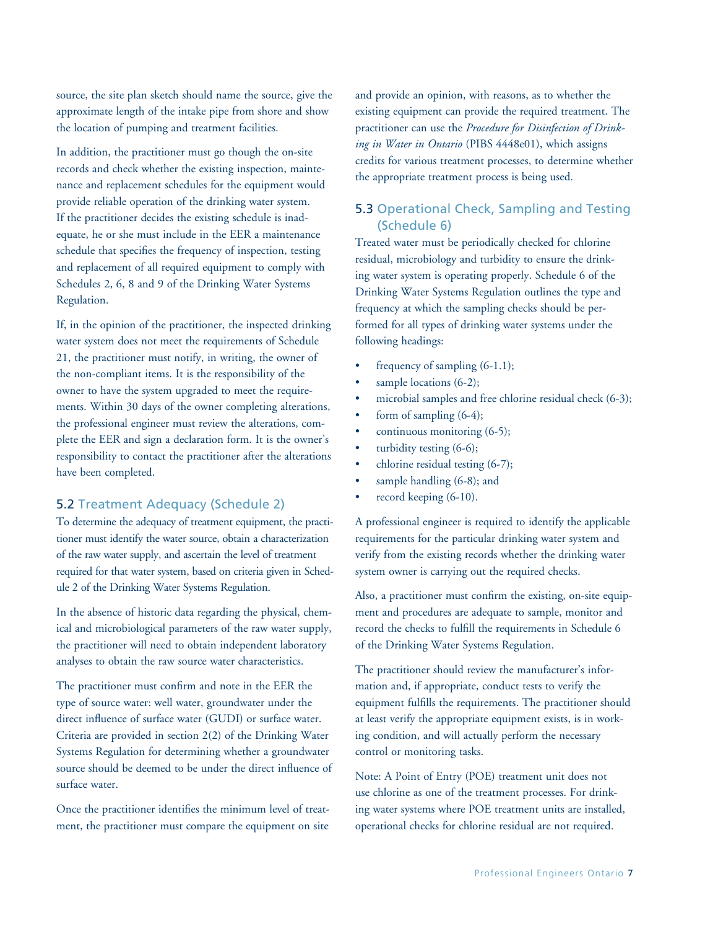source, the site plan sketch should name the source, give the approximate length of the intake pipe from shore and show the location of pumping and treatment facilities.

In addition, the practitioner must go though the on-site records and check whether the existing inspection, maintenance and replacement schedules for the equipment would provide reliable operation of the drinking water system. If the practitioner decides the existing schedule is inadequate, he or she must include in the EER a maintenance schedule that specifies the frequency of inspection, testing and replacement of all required equipment to comply with Schedules 2, 6, 8 and 9 of the Drinking Water Systems Regulation.

If, in the opinion of the practitioner, the inspected drinking water system does not meet the requirements of Schedule 21, the practitioner must notify, in writing, the owner of the non-compliant items. It is the responsibility of the owner to have the system upgraded to meet the requirements. Within 30 days of the owner completing alterations, the professional engineer must review the alterations, complete the EER and sign a declaration form. It is the owner's responsibility to contact the practitioner after the alterations have been completed.

#### 5.2 Treatment Adequacy (Schedule 2)

To determine the adequacy of treatment equipment, the practitioner must identify the water source, obtain a characterization of the raw water supply, and ascertain the level of treatment required for that water system, based on criteria given in Schedule 2 of the Drinking Water Systems Regulation.

In the absence of historic data regarding the physical, chemical and microbiological parameters of the raw water supply, the practitioner will need to obtain independent laboratory analyses to obtain the raw source water characteristics.

The practitioner must confirm and note in the EER the type of source water: well water, groundwater under the direct influence of surface water (GUDI) or surface water. Criteria are provided in section 2(2) of the Drinking Water Systems Regulation for determining whether a groundwater source should be deemed to be under the direct influence of surface water.

Once the practitioner identifies the minimum level of treatment, the practitioner must compare the equipment on site and provide an opinion, with reasons, as to whether the existing equipment can provide the required treatment. The practitioner can use the *Procedure for Disinfection of Drinking in Water in Ontario* (PIBS 4448e01), which assigns credits for various treatment processes, to determine whether the appropriate treatment process is being used.

### 5.3 Operational Check, Sampling and Testing (Schedule 6)

Treated water must be periodically checked for chlorine residual, microbiology and turbidity to ensure the drinking water system is operating properly. Schedule 6 of the Drinking Water Systems Regulation outlines the type and frequency at which the sampling checks should be performed for all types of drinking water systems under the following headings:

- frequency of sampling  $(6-1.1);$
- sample locations  $(6-2)$ ;
- microbial samples and free chlorine residual check  $(6-3)$ ;
- form of sampling  $(6-4)$ ;
- continuous monitoring (6-5);
- turbidity testing  $(6-6)$ ;
- chlorine residual testing  $(6-7)$ ;
- sample handling (6-8); and
- record keeping (6-10).

A professional engineer is required to identify the applicable requirements for the particular drinking water system and verify from the existing records whether the drinking water system owner is carrying out the required checks.

Also, a practitioner must confirm the existing, on-site equipment and procedures are adequate to sample, monitor and record the checks to fulfill the requirements in Schedule 6 of the Drinking Water Systems Regulation.

The practitioner should review the manufacturer's information and, if appropriate, conduct tests to verify the equipment fulfills the requirements. The practitioner should at least verify the appropriate equipment exists, is in working condition, and will actually perform the necessary control or monitoring tasks.

Note: A Point of Entry (POE) treatment unit does not use chlorine as one of the treatment processes. For drinking water systems where POE treatment units are installed, operational checks for chlorine residual are not required.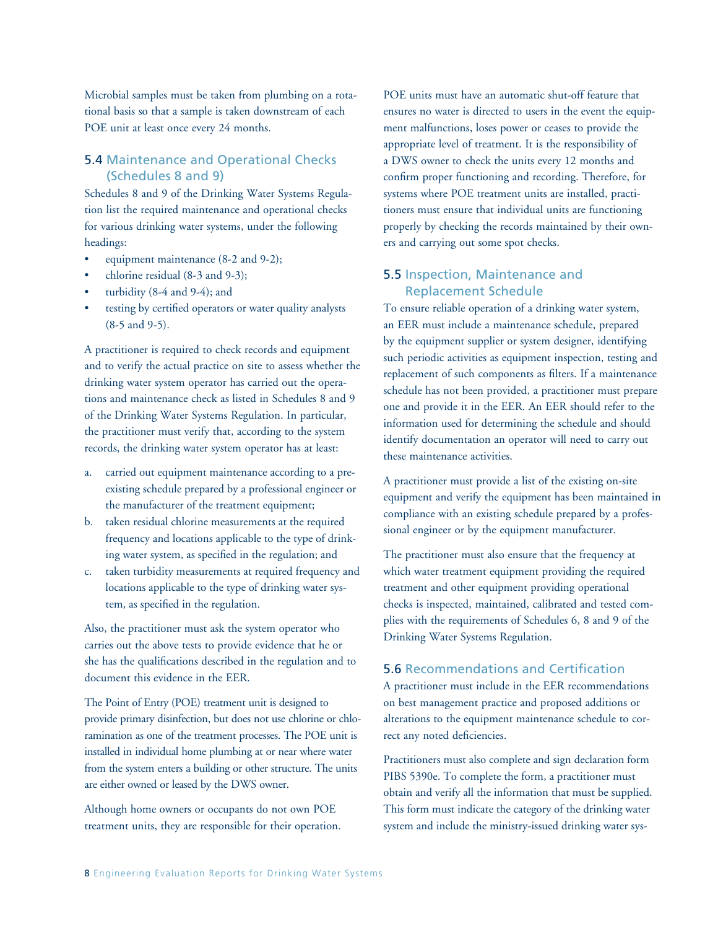Microbial samples must be taken from plumbing on a rotational basis so that a sample is taken downstream of each POE unit at least once every 24 months.

### 5.4 Maintenance and Operational Checks (Schedules 8 and 9)

Schedules 8 and 9 of the Drinking Water Systems Regulation list the required maintenance and operational checks for various drinking water systems, under the following headings:

- equipment maintenance (8-2 and 9-2);
- chlorine residual  $(8-3$  and  $9-3)$ ;
- turbidity  $(8-4$  and  $9-4)$ ; and
- testing by certified operators or water quality analysts (8-5 and 9-5).

A practitioner is required to check records and equipment and to verify the actual practice on site to assess whether the drinking water system operator has carried out the operations and maintenance check as listed in Schedules 8 and 9 of the Drinking Water Systems Regulation. In particular, the practitioner must verify that, according to the system records, the drinking water system operator has at least:

- a. carried out equipment maintenance according to a preexisting schedule prepared by a professional engineer or the manufacturer of the treatment equipment;
- b. taken residual chlorine measurements at the required frequency and locations applicable to the type of drinking water system, as specified in the regulation; and
- c. taken turbidity measurements at required frequency and locations applicable to the type of drinking water system, as specified in the regulation.

Also, the practitioner must ask the system operator who carries out the above tests to provide evidence that he or she has the qualifications described in the regulation and to document this evidence in the EER.

The Point of Entry (POE) treatment unit is designed to provide primary disinfection, but does not use chlorine or chloramination as one of the treatment processes. The POE unit is installed in individual home plumbing at or near where water from the system enters a building or other structure. The units are either owned or leased by the DWS owner.

Although home owners or occupants do not own POE treatment units, they are responsible for their operation. POE units must have an automatic shut-off feature that ensures no water is directed to users in the event the equipment malfunctions, loses power or ceases to provide the appropriate level of treatment. It is the responsibility of a DWS owner to check the units every 12 months and confirm proper functioning and recording. Therefore, for systems where POE treatment units are installed, practitioners must ensure that individual units are functioning properly by checking the records maintained by their owners and carrying out some spot checks.

### 5.5 Inspection, Maintenance and Replacement Schedule

To ensure reliable operation of a drinking water system, an EER must include a maintenance schedule, prepared by the equipment supplier or system designer, identifying such periodic activities as equipment inspection, testing and replacement of such components as filters. If a maintenance schedule has not been provided, a practitioner must prepare one and provide it in the EER. An EER should refer to the information used for determining the schedule and should identify documentation an operator will need to carry out these maintenance activities.

A practitioner must provide a list of the existing on-site equipment and verify the equipment has been maintained in compliance with an existing schedule prepared by a professional engineer or by the equipment manufacturer.

The practitioner must also ensure that the frequency at which water treatment equipment providing the required treatment and other equipment providing operational checks is inspected, maintained, calibrated and tested complies with the requirements of Schedules 6, 8 and 9 of the Drinking Water Systems Regulation.

### 5.6 Recommendations and Certification

A practitioner must include in the EER recommendations on best management practice and proposed additions or alterations to the equipment maintenance schedule to correct any noted deficiencies.

Practitioners must also complete and sign declaration form PIBS 5390e. To complete the form, a practitioner must obtain and verify all the information that must be supplied. This form must indicate the category of the drinking water system and include the ministry-issued drinking water sys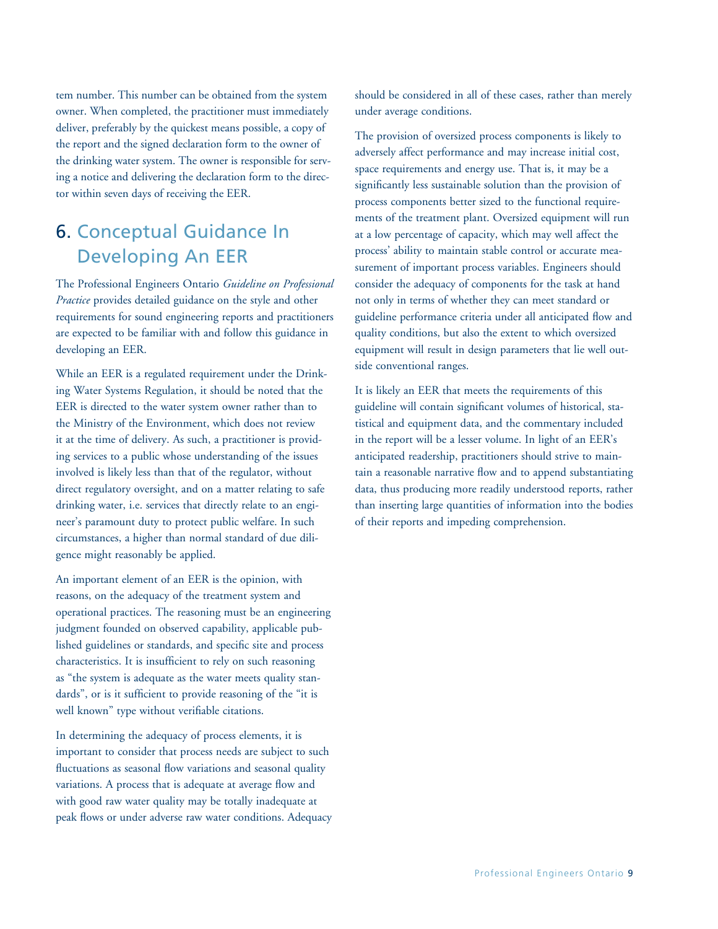tem number. This number can be obtained from the system owner. When completed, the practitioner must immediately deliver, preferably by the quickest means possible, a copy of the report and the signed declaration form to the owner of the drinking water system. The owner is responsible for serving a notice and delivering the declaration form to the director within seven days of receiving the EER.

### 6. Conceptual Guidance In Developing An EER

The Professional Engineers Ontario *Guideline on Professional Practice* provides detailed guidance on the style and other requirements for sound engineering reports and practitioners are expected to be familiar with and follow this guidance in developing an EER.

While an EER is a regulated requirement under the Drinking Water Systems Regulation, it should be noted that the EER is directed to the water system owner rather than to the Ministry of the Environment, which does not review it at the time of delivery. As such, a practitioner is providing services to a public whose understanding of the issues involved is likely less than that of the regulator, without direct regulatory oversight, and on a matter relating to safe drinking water, i.e. services that directly relate to an engineer's paramount duty to protect public welfare. In such circumstances, a higher than normal standard of due diligence might reasonably be applied.

An important element of an EER is the opinion, with reasons, on the adequacy of the treatment system and operational practices. The reasoning must be an engineering judgment founded on observed capability, applicable published guidelines or standards, and specific site and process characteristics. It is insufficient to rely on such reasoning as "the system is adequate as the water meets quality standards", or is it sufficient to provide reasoning of the "it is well known" type without verifiable citations.

In determining the adequacy of process elements, it is important to consider that process needs are subject to such fluctuations as seasonal flow variations and seasonal quality variations. A process that is adequate at average flow and with good raw water quality may be totally inadequate at peak flows or under adverse raw water conditions. Adequacy should be considered in all of these cases, rather than merely under average conditions.

The provision of oversized process components is likely to adversely affect performance and may increase initial cost, space requirements and energy use. That is, it may be a significantly less sustainable solution than the provision of process components better sized to the functional requirements of the treatment plant. Oversized equipment will run at a low percentage of capacity, which may well affect the process' ability to maintain stable control or accurate measurement of important process variables. Engineers should consider the adequacy of components for the task at hand not only in terms of whether they can meet standard or guideline performance criteria under all anticipated flow and quality conditions, but also the extent to which oversized equipment will result in design parameters that lie well outside conventional ranges.

It is likely an EER that meets the requirements of this guideline will contain significant volumes of historical, statistical and equipment data, and the commentary included in the report will be a lesser volume. In light of an EER's anticipated readership, practitioners should strive to maintain a reasonable narrative flow and to append substantiating data, thus producing more readily understood reports, rather than inserting large quantities of information into the bodies of their reports and impeding comprehension.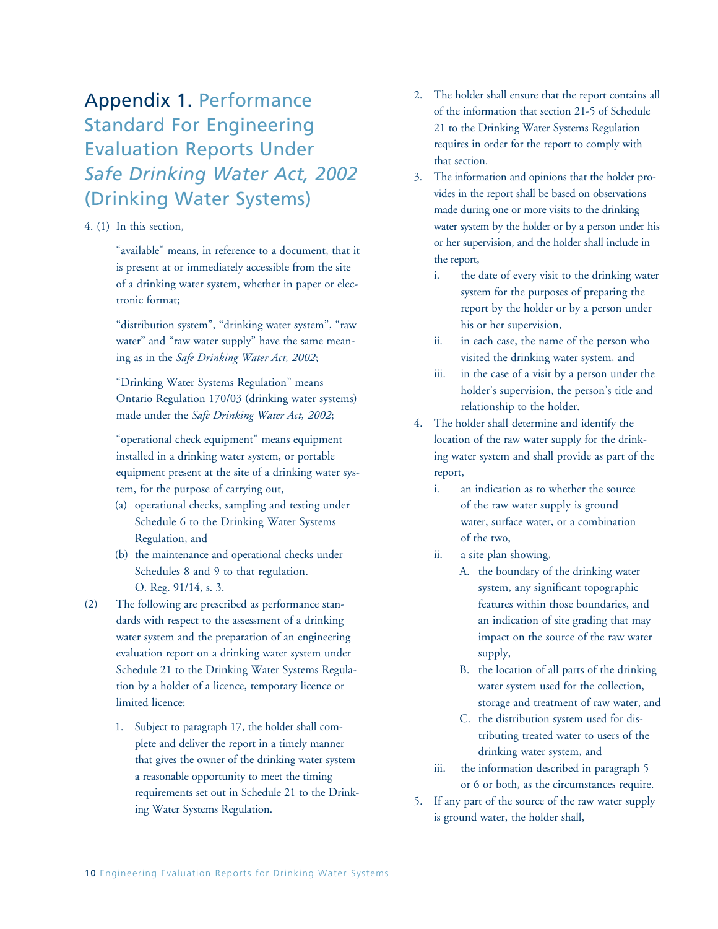# Appendix 1. Performance Standard For Engineering Evaluation Reports Under *Safe Drinking Water Act, 2002* (Drinking Water Systems)

#### 4. (1) In this section,

"available" means, in reference to a document, that it is present at or immediately accessible from the site of a drinking water system, whether in paper or electronic format;

"distribution system", "drinking water system", "raw water" and "raw water supply" have the same meaning as in the *Safe Drinking Water Act, 2002*;

"Drinking Water Systems Regulation" means Ontario Regulation 170/03 (drinking water systems) made under the *Safe Drinking Water Act, 2002*;

"operational check equipment" means equipment installed in a drinking water system, or portable equipment present at the site of a drinking water system, for the purpose of carrying out,

- (a) operational checks, sampling and testing under Schedule 6 to the Drinking Water Systems Regulation, and
- (b) the maintenance and operational checks under Schedules 8 and 9 to that regulation. O. Reg. 91/14, s. 3.
- (2) The following are prescribed as performance standards with respect to the assessment of a drinking water system and the preparation of an engineering evaluation report on a drinking water system under Schedule 21 to the Drinking Water Systems Regulation by a holder of a licence, temporary licence or limited licence:
	- 1. Subject to paragraph 17, the holder shall complete and deliver the report in a timely manner that gives the owner of the drinking water system a reasonable opportunity to meet the timing requirements set out in Schedule 21 to the Drinking Water Systems Regulation.
- 2. The holder shall ensure that the report contains all of the information that section 21-5 of Schedule 21 to the Drinking Water Systems Regulation requires in order for the report to comply with that section.
- 3. The information and opinions that the holder provides in the report shall be based on observations made during one or more visits to the drinking water system by the holder or by a person under his or her supervision, and the holder shall include in the report,
	- i. the date of every visit to the drinking water system for the purposes of preparing the report by the holder or by a person under his or her supervision,
	- ii. in each case, the name of the person who visited the drinking water system, and
	- iii. in the case of a visit by a person under the holder's supervision, the person's title and relationship to the holder.
- 4. The holder shall determine and identify the location of the raw water supply for the drinking water system and shall provide as part of the report,
	- i. an indication as to whether the source of the raw water supply is ground water, surface water, or a combination of the two,
	- ii. a site plan showing,
		- A. the boundary of the drinking water system, any significant topographic features within those boundaries, and an indication of site grading that may impact on the source of the raw water supply,
		- B. the location of all parts of the drinking water system used for the collection, storage and treatment of raw water, and
		- C. the distribution system used for distributing treated water to users of the drinking water system, and
	- iii. the information described in paragraph 5 or 6 or both, as the circumstances require.
- 5. If any part of the source of the raw water supply is ground water, the holder shall,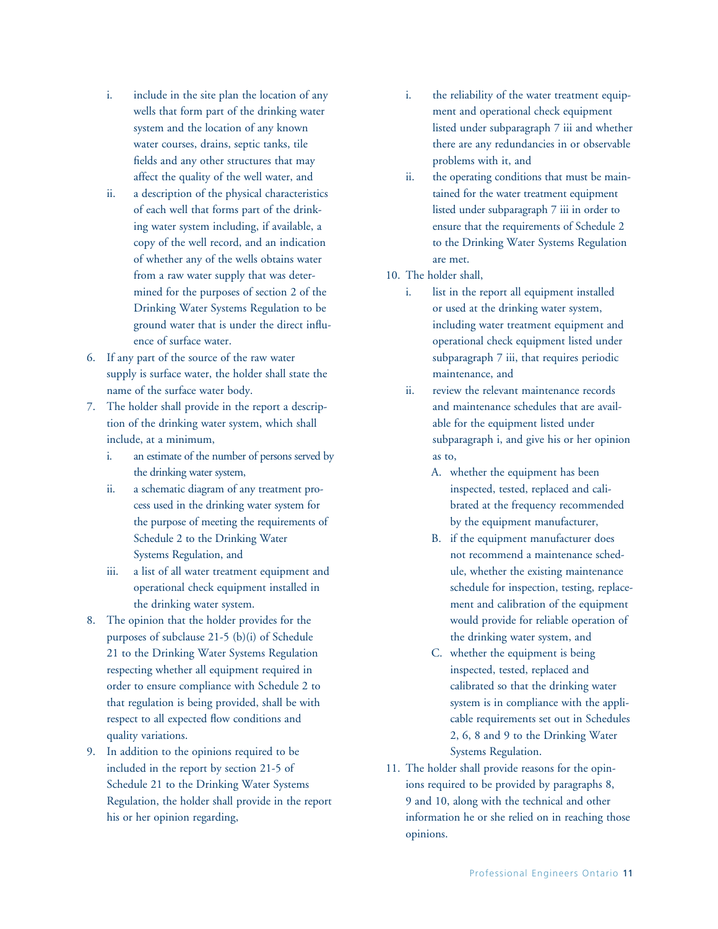- i. include in the site plan the location of any wells that form part of the drinking water system and the location of any known water courses, drains, septic tanks, tile fields and any other structures that may affect the quality of the well water, and
- ii. a description of the physical characteristics of each well that forms part of the drinking water system including, if available, a copy of the well record, and an indication of whether any of the wells obtains water from a raw water supply that was determined for the purposes of section 2 of the Drinking Water Systems Regulation to be ground water that is under the direct influence of surface water.
- 6. If any part of the source of the raw water supply is surface water, the holder shall state the name of the surface water body.
- 7. The holder shall provide in the report a description of the drinking water system, which shall include, at a minimum,
	- i. an estimate of the number of persons served by the drinking water system,
	- ii. a schematic diagram of any treatment process used in the drinking water system for the purpose of meeting the requirements of Schedule 2 to the Drinking Water Systems Regulation, and
	- iii. a list of all water treatment equipment and operational check equipment installed in the drinking water system.
- 8. The opinion that the holder provides for the purposes of subclause 21-5 (b)(i) of Schedule 21 to the Drinking Water Systems Regulation respecting whether all equipment required in order to ensure compliance with Schedule 2 to that regulation is being provided, shall be with respect to all expected flow conditions and quality variations.
- 9. In addition to the opinions required to be included in the report by section 21-5 of Schedule 21 to the Drinking Water Systems Regulation, the holder shall provide in the report his or her opinion regarding,
- i. the reliability of the water treatment equipment and operational check equipment listed under subparagraph 7 iii and whether there are any redundancies in or observable problems with it, and
- ii. the operating conditions that must be maintained for the water treatment equipment listed under subparagraph 7 iii in order to ensure that the requirements of Schedule 2 to the Drinking Water Systems Regulation are met.
- 10. The holder shall,
	- i. list in the report all equipment installed or used at the drinking water system, including water treatment equipment and operational check equipment listed under subparagraph 7 iii, that requires periodic maintenance, and
	- ii. review the relevant maintenance records and maintenance schedules that are available for the equipment listed under subparagraph i, and give his or her opinion as to,
		- A. whether the equipment has been inspected, tested, replaced and calibrated at the frequency recommended by the equipment manufacturer,
		- B. if the equipment manufacturer does not recommend a maintenance schedule, whether the existing maintenance schedule for inspection, testing, replacement and calibration of the equipment would provide for reliable operation of the drinking water system, and
		- C. whether the equipment is being inspected, tested, replaced and calibrated so that the drinking water system is in compliance with the applicable requirements set out in Schedules 2, 6, 8 and 9 to the Drinking Water Systems Regulation.
- 11. The holder shall provide reasons for the opinions required to be provided by paragraphs 8, 9 and 10, along with the technical and other information he or she relied on in reaching those opinions.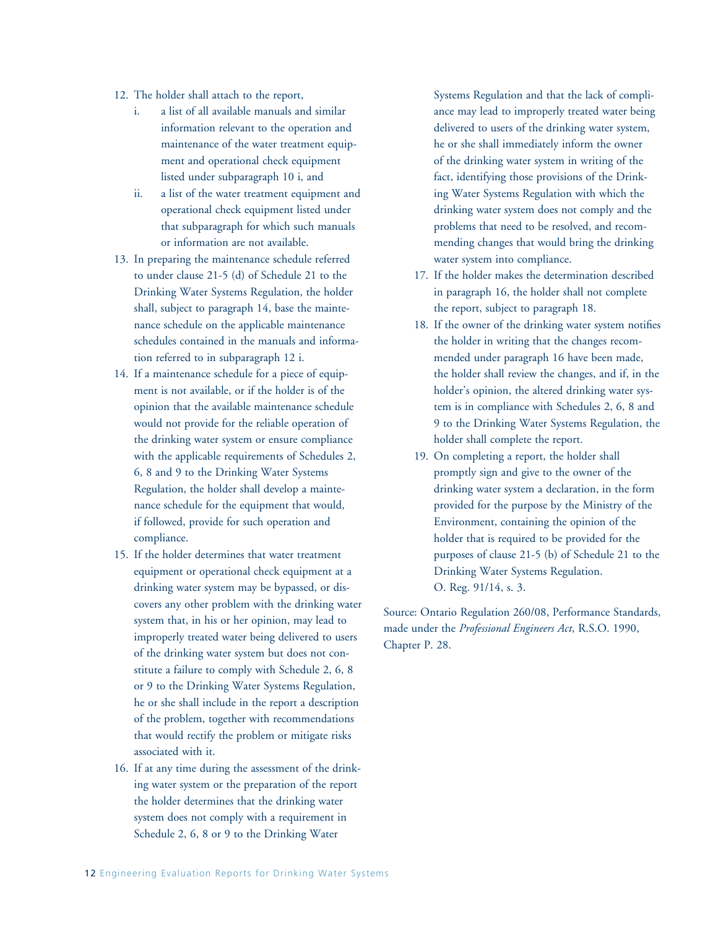- 12. The holder shall attach to the report,
	- i. a list of all available manuals and similar information relevant to the operation and maintenance of the water treatment equipment and operational check equipment listed under subparagraph 10 i, and
	- ii. a list of the water treatment equipment and operational check equipment listed under that subparagraph for which such manuals or information are not available.
- 13. In preparing the maintenance schedule referred to under clause 21-5 (d) of Schedule 21 to the Drinking Water Systems Regulation, the holder shall, subject to paragraph 14, base the maintenance schedule on the applicable maintenance schedules contained in the manuals and information referred to in subparagraph 12 i.
- 14. If a maintenance schedule for a piece of equipment is not available, or if the holder is of the opinion that the available maintenance schedule would not provide for the reliable operation of the drinking water system or ensure compliance with the applicable requirements of Schedules 2, 6, 8 and 9 to the Drinking Water Systems Regulation, the holder shall develop a maintenance schedule for the equipment that would, if followed, provide for such operation and compliance.
- 15. If the holder determines that water treatment equipment or operational check equipment at a drinking water system may be bypassed, or discovers any other problem with the drinking water system that, in his or her opinion, may lead to improperly treated water being delivered to users of the drinking water system but does not constitute a failure to comply with Schedule 2, 6, 8 or 9 to the Drinking Water Systems Regulation, he or she shall include in the report a description of the problem, together with recommendations that would rectify the problem or mitigate risks associated with it.
- 16. If at any time during the assessment of the drinking water system or the preparation of the report the holder determines that the drinking water system does not comply with a requirement in Schedule 2, 6, 8 or 9 to the Drinking Water

Systems Regulation and that the lack of compliance may lead to improperly treated water being delivered to users of the drinking water system, he or she shall immediately inform the owner of the drinking water system in writing of the fact, identifying those provisions of the Drinking Water Systems Regulation with which the drinking water system does not comply and the problems that need to be resolved, and recommending changes that would bring the drinking water system into compliance.

- 17. If the holder makes the determination described in paragraph 16, the holder shall not complete the report, subject to paragraph 18.
- 18. If the owner of the drinking water system notifies the holder in writing that the changes recommended under paragraph 16 have been made, the holder shall review the changes, and if, in the holder's opinion, the altered drinking water system is in compliance with Schedules 2, 6, 8 and 9 to the Drinking Water Systems Regulation, the holder shall complete the report.
- 19. On completing a report, the holder shall promptly sign and give to the owner of the drinking water system a declaration, in the form provided for the purpose by the Ministry of the Environment, containing the opinion of the holder that is required to be provided for the purposes of clause 21-5 (b) of Schedule 21 to the Drinking Water Systems Regulation. O. Reg. 91/14, s. 3.

Source: Ontario Regulation 260/08, Performance Standards, made under the *Professional Engineers Act*, R.S.O. 1990, Chapter P. 28.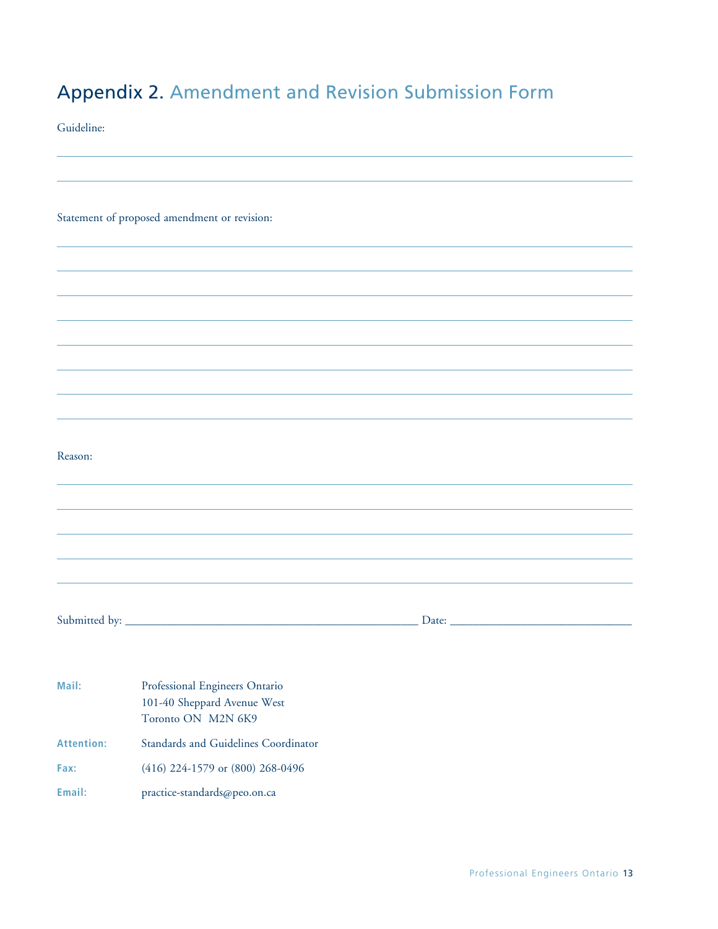# Appendix 2. Amendment and Revision Submission Form

Guideline:

Statement of proposed amendment or revision:

Reason:

Submitted by: \_\_\_\_\_\_\_\_\_\_\_\_\_\_\_\_\_\_\_\_\_\_\_\_\_\_\_\_\_\_\_\_\_\_\_\_\_\_\_\_\_\_\_\_\_\_\_\_\_\_ Date: \_\_\_\_\_\_\_\_\_\_\_\_\_\_\_\_\_\_\_\_\_\_\_\_\_\_\_\_\_\_\_

| Mail:      | Professional Engineers Ontario       |
|------------|--------------------------------------|
|            | 101-40 Sheppard Avenue West          |
|            | Toronto ON M2N 6K9                   |
| Attention: | Standards and Guidelines Coordinator |
| Fax:       | $(416)$ 224-1579 or $(800)$ 268-0496 |
| Email:     | practice-standards@peo.on.ca         |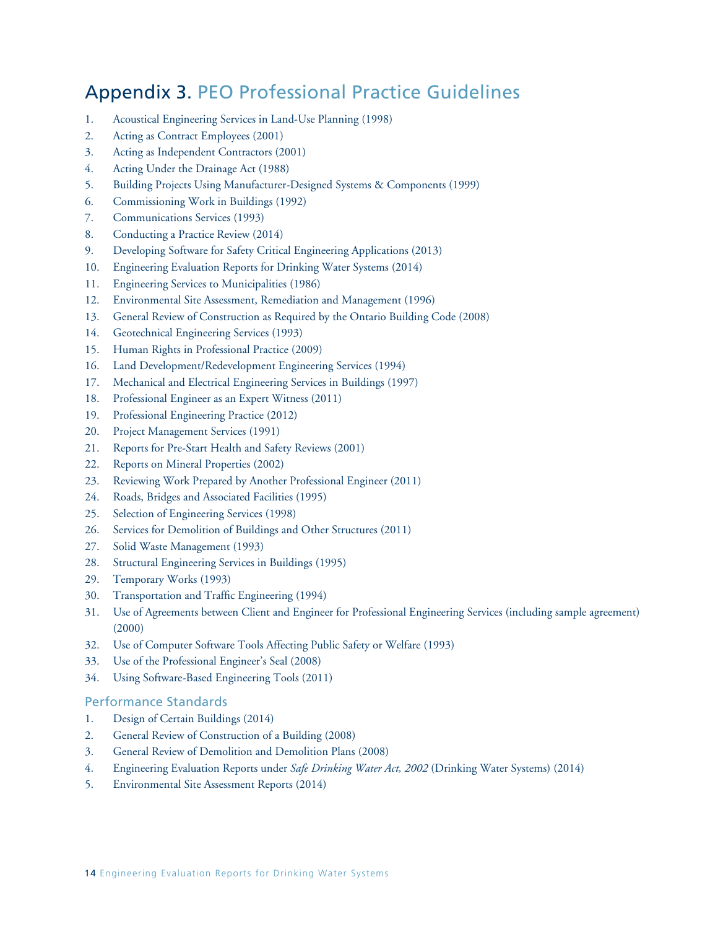### Appendix 3. PEO Professional Practice Guidelines

- 1. Acoustical Engineering Services in Land-Use Planning (1998)
- 2. Acting as Contract Employees (2001)
- 3. Acting as Independent Contractors (2001)
- 4. Acting Under the Drainage Act (1988)
- 5. Building Projects Using Manufacturer-Designed Systems & Components (1999)
- 6. Commissioning Work in Buildings (1992)
- 7. Communications Services (1993)
- 8. Conducting a Practice Review (2014)
- 9. Developing Software for Safety Critical Engineering Applications (2013)
- 10. Engineering Evaluation Reports for Drinking Water Systems (2014)
- 11. Engineering Services to Municipalities (1986)
- 12. Environmental Site Assessment, Remediation and Management (1996)
- 13. General Review of Construction as Required by the Ontario Building Code (2008)
- 14. Geotechnical Engineering Services (1993)
- 15. Human Rights in Professional Practice (2009)
- 16. Land Development/Redevelopment Engineering Services (1994)
- 17. Mechanical and Electrical Engineering Services in Buildings (1997)
- 18. Professional Engineer as an Expert Witness (2011)
- 19. Professional Engineering Practice (2012)
- 20. Project Management Services (1991)
- 21. Reports for Pre-Start Health and Safety Reviews (2001)
- 22. Reports on Mineral Properties (2002)
- 23. Reviewing Work Prepared by Another Professional Engineer (2011)
- 24. Roads, Bridges and Associated Facilities (1995)
- 25. Selection of Engineering Services (1998)
- 26. Services for Demolition of Buildings and Other Structures (2011)
- 27. Solid Waste Management (1993)
- 28. Structural Engineering Services in Buildings (1995)
- 29. Temporary Works (1993)
- 30. Transportation and Traffic Engineering (1994)
- 31. Use of Agreements between Client and Engineer for Professional Engineering Services (including sample agreement) (2000)
- 32. Use of Computer Software Tools Affecting Public Safety or Welfare (1993)
- 33. Use of the Professional Engineer's Seal (2008)
- 34. Using Software-Based Engineering Tools (2011)

#### Performance Standards

- 1. Design of Certain Buildings (2014)
- 2. General Review of Construction of a Building (2008)
- 3. General Review of Demolition and Demolition Plans (2008)
- 4. Engineering Evaluation Reports under *Safe Drinking Water Act, 2002* (Drinking Water Systems) (2014)
- 5. Environmental Site Assessment Reports (2014)